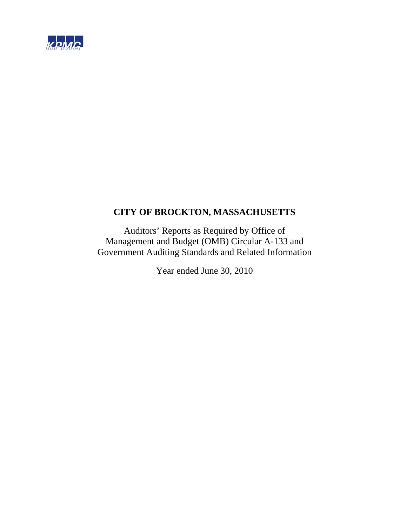

Auditors' Reports as Required by Office of Management and Budget (OMB) Circular A-133 and Government Auditing Standards and Related Information

Year ended June 30, 2010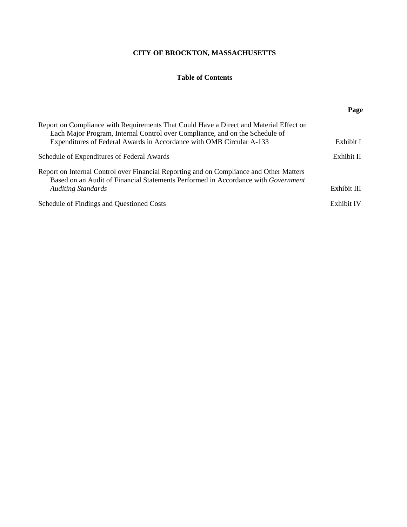# **Table of Contents**

|                                                                                                                                                                                     | Page        |
|-------------------------------------------------------------------------------------------------------------------------------------------------------------------------------------|-------------|
| Report on Compliance with Requirements That Could Have a Direct and Material Effect on<br>Each Major Program, Internal Control over Compliance, and on the Schedule of              |             |
| Expenditures of Federal Awards in Accordance with OMB Circular A-133                                                                                                                | Exhibit I   |
| Schedule of Expenditures of Federal Awards                                                                                                                                          | Exhibit II  |
| Report on Internal Control over Financial Reporting and on Compliance and Other Matters<br>Based on an Audit of Financial Statements Performed in Accordance with <i>Government</i> |             |
| <b>Auditing Standards</b>                                                                                                                                                           | Exhibit III |
| Schedule of Findings and Questioned Costs                                                                                                                                           | Exhibit IV  |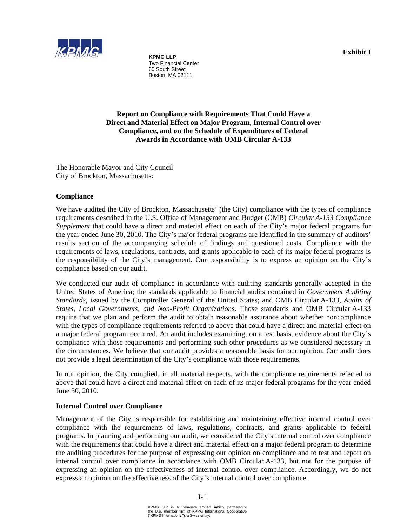

**KPMG LLP**  Two Financial Center 60 South Street Boston, MA 02111

**Exhibit I** 

# **Report on Compliance with Requirements That Could Have a Direct and Material Effect on Major Program, Internal Control over Compliance, and on the Schedule of Expenditures of Federal Awards in Accordance with OMB Circular A-133**

The Honorable Mayor and City Council City of Brockton, Massachusetts:

# **Compliance**

We have audited the City of Brockton, Massachusetts' (the City) compliance with the types of compliance requirements described in the U.S. Office of Management and Budget (OMB) *Circular A-133 Compliance Supplement* that could have a direct and material effect on each of the City's major federal programs for the year ended June 30, 2010. The City's major federal programs are identified in the summary of auditors' results section of the accompanying schedule of findings and questioned costs. Compliance with the requirements of laws, regulations, contracts, and grants applicable to each of its major federal programs is the responsibility of the City's management. Our responsibility is to express an opinion on the City's compliance based on our audit.

We conducted our audit of compliance in accordance with auditing standards generally accepted in the United States of America; the standards applicable to financial audits contained in *Government Auditing Standards*, issued by the Comptroller General of the United States; and OMB Circular A-133, *Audits of States, Local Governments, and Non-Profit Organizations*. Those standards and OMB Circular A-133 require that we plan and perform the audit to obtain reasonable assurance about whether noncompliance with the types of compliance requirements referred to above that could have a direct and material effect on a major federal program occurred. An audit includes examining, on a test basis, evidence about the City's compliance with those requirements and performing such other procedures as we considered necessary in the circumstances. We believe that our audit provides a reasonable basis for our opinion. Our audit does not provide a legal determination of the City's compliance with those requirements.

In our opinion, the City complied, in all material respects, with the compliance requirements referred to above that could have a direct and material effect on each of its major federal programs for the year ended June 30, 2010.

#### **Internal Control over Compliance**

Management of the City is responsible for establishing and maintaining effective internal control over compliance with the requirements of laws, regulations, contracts, and grants applicable to federal programs. In planning and performing our audit, we considered the City's internal control over compliance with the requirements that could have a direct and material effect on a major federal program to determine the auditing procedures for the purpose of expressing our opinion on compliance and to test and report on internal control over compliance in accordance with OMB Circular A-133, but not for the purpose of expressing an opinion on the effectiveness of internal control over compliance. Accordingly, we do not express an opinion on the effectiveness of the City's internal control over compliance.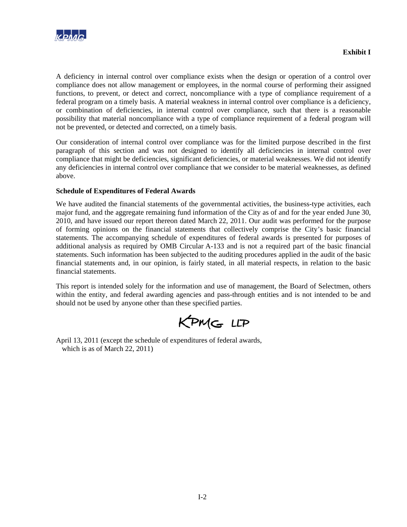

A deficiency in internal control over compliance exists when the design or operation of a control over compliance does not allow management or employees, in the normal course of performing their assigned functions, to prevent, or detect and correct, noncompliance with a type of compliance requirement of a federal program on a timely basis. A material weakness in internal control over compliance is a deficiency, or combination of deficiencies, in internal control over compliance, such that there is a reasonable possibility that material noncompliance with a type of compliance requirement of a federal program will not be prevented, or detected and corrected, on a timely basis.

Our consideration of internal control over compliance was for the limited purpose described in the first paragraph of this section and was not designed to identify all deficiencies in internal control over compliance that might be deficiencies, significant deficiencies, or material weaknesses. We did not identify any deficiencies in internal control over compliance that we consider to be material weaknesses, as defined above.

# **Schedule of Expenditures of Federal Awards**

We have audited the financial statements of the governmental activities, the business-type activities, each major fund, and the aggregate remaining fund information of the City as of and for the year ended June 30, 2010, and have issued our report thereon dated March 22, 2011. Our audit was performed for the purpose of forming opinions on the financial statements that collectively comprise the City's basic financial statements. The accompanying schedule of expenditures of federal awards is presented for purposes of additional analysis as required by OMB Circular A-133 and is not a required part of the basic financial statements. Such information has been subjected to the auditing procedures applied in the audit of the basic financial statements and, in our opinion, is fairly stated, in all material respects, in relation to the basic financial statements.

This report is intended solely for the information and use of management, the Board of Selectmen, others within the entity, and federal awarding agencies and pass-through entities and is not intended to be and should not be used by anyone other than these specified parties.

KPMG LLP

April 13, 2011 (except the schedule of expenditures of federal awards, which is as of March 22, 2011)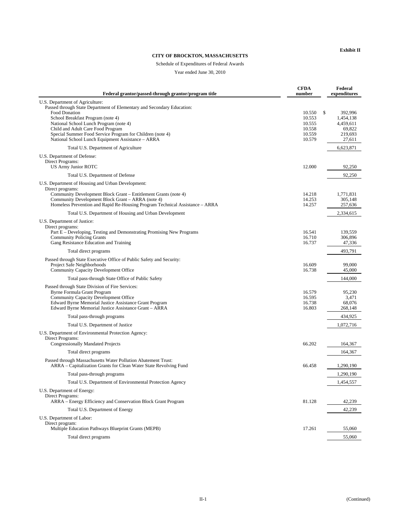#### **Exhibit II**

# **CITY OF BROCKTON, MASSACHUSETTS**

Schedule of Expenditures of Federal Awards

Year ended June 30, 2010

| Federal grantor/passed-through grantor/program title                                                                                                                                                                                                                                                                          | <b>CFDA</b><br>number                                          | Federal<br>expenditures                                          |
|-------------------------------------------------------------------------------------------------------------------------------------------------------------------------------------------------------------------------------------------------------------------------------------------------------------------------------|----------------------------------------------------------------|------------------------------------------------------------------|
| U.S. Department of Agriculture:                                                                                                                                                                                                                                                                                               |                                                                |                                                                  |
| Passed through State Department of Elementary and Secondary Education:<br>Food Donation<br>School Breakfast Program (note 4)<br>National School Lunch Program (note 4)<br>Child and Adult Care Food Program<br>Special Summer Food Service Program for Children (note 4)<br>National School Lunch Equipment Assistance - ARRA | \$<br>10.550<br>10.553<br>10.555<br>10.558<br>10.559<br>10.579 | 392,996<br>1,454,138<br>4,459,611<br>69,822<br>219,693<br>27,611 |
| Total U.S. Department of Agriculture                                                                                                                                                                                                                                                                                          |                                                                | 6,623,871                                                        |
| U.S. Department of Defense:<br>Direct Programs:<br><b>US Army Junior ROTC</b>                                                                                                                                                                                                                                                 | 12.000                                                         | 92.250                                                           |
| Total U.S. Department of Defense                                                                                                                                                                                                                                                                                              |                                                                | 92,250                                                           |
| U.S. Department of Housing and Urban Development:<br>Direct programs:<br>Community Development Block Grant – Entitlement Grants (note 4)                                                                                                                                                                                      | 14.218                                                         | 1,771,831                                                        |
| Community Development Block Grant - ARRA (note 4)<br>Homeless Prevention and Rapid Re-Housing Program Technical Assistance - ARRA                                                                                                                                                                                             | 14.253<br>14.257                                               | 305,148<br>257,636                                               |
| Total U.S. Department of Housing and Urban Development                                                                                                                                                                                                                                                                        |                                                                | 2,334,615                                                        |
| U.S. Department of Justice:<br>Direct programs:<br>Part E – Developing, Testing and Demonstrating Promising New Programs<br><b>Community Policing Grants</b><br>Gang Resistance Education and Training                                                                                                                        | 16.541<br>16.710<br>16.737                                     | 139,559<br>306.896<br>47,336                                     |
| Total direct programs                                                                                                                                                                                                                                                                                                         |                                                                | 493,791                                                          |
| Passed through State Executive Office of Public Safety and Security:<br>Project Safe Neighborhoods<br><b>Community Capacity Development Office</b>                                                                                                                                                                            | 16.609<br>16.738                                               | 99,000<br>45,000                                                 |
| Total pass-through State Office of Public Safety                                                                                                                                                                                                                                                                              |                                                                | 144,000                                                          |
| Passed through State Division of Fire Services:<br>Byrne Formula Grant Program<br>Community Capacity Development Office<br>Edward Byrne Memorial Justice Assistance Grant Program<br>Edward Byrne Memorial Justice Assistance Grant - ARRA                                                                                    | 16.579<br>16.595<br>16.738<br>16.803                           | 95,230<br>3,471<br>68,076<br>268,148                             |
| Total pass-through programs                                                                                                                                                                                                                                                                                                   |                                                                | 434,925                                                          |
| Total U.S. Department of Justice                                                                                                                                                                                                                                                                                              |                                                                | 1,072,716                                                        |
| U.S. Department of Environmental Protection Agency:<br>Direct Programs:                                                                                                                                                                                                                                                       |                                                                |                                                                  |
| <b>Congressionally Mandated Projects</b>                                                                                                                                                                                                                                                                                      | 66.202                                                         | 164,367                                                          |
| Total direct programs                                                                                                                                                                                                                                                                                                         |                                                                | 164,367                                                          |
| Passed through Massachusetts Water Pollution Abatement Trust:<br>ARRA – Capitalization Grants for Clean Water State Revolving Fund                                                                                                                                                                                            | 66.458                                                         | 1,290,190                                                        |
| Total pass-through programs                                                                                                                                                                                                                                                                                                   |                                                                | 1,290,190                                                        |
| Total U.S. Department of Environmental Protection Agency                                                                                                                                                                                                                                                                      |                                                                | 1,454,557                                                        |
| U.S. Department of Energy:<br>Direct Programs:<br>ARRA – Energy Efficiency and Conservation Block Grant Program                                                                                                                                                                                                               | 81.128                                                         | 42,239                                                           |
| Total U.S. Department of Energy                                                                                                                                                                                                                                                                                               |                                                                | 42,239                                                           |
| U.S. Department of Labor:<br>Direct program:                                                                                                                                                                                                                                                                                  |                                                                |                                                                  |
| Multiple Education Pathways Blueprint Grants (MEPB)                                                                                                                                                                                                                                                                           | 17.261                                                         | 55,060                                                           |
| Total direct programs                                                                                                                                                                                                                                                                                                         |                                                                | 55,060                                                           |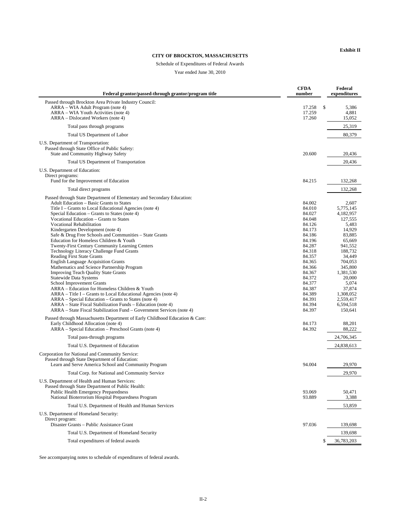#### **Exhibit II**

### **CITY OF BROCKTON, MASSACHUSETTS**

Schedule of Expenditures of Federal Awards Year ended June 30, 2010

| Year ended June 30, 2010 |  |  |
|--------------------------|--|--|
|                          |  |  |

| Federal grantor/passed-through grantor/program title                                                                | <b>CFDA</b><br>number |    | Federal<br>expenditures |
|---------------------------------------------------------------------------------------------------------------------|-----------------------|----|-------------------------|
| Passed through Brockton Area Private Industry Council:                                                              |                       |    |                         |
| ARRA – WIA Adult Program (note 4)                                                                                   | 17.258                | \$ | 5,386                   |
| ARRA – WIA Youth Activities (note 4)                                                                                | 17.259                |    | 4,881                   |
| ARRA – Dislocated Workers (note 4)                                                                                  | 17.260                |    | 15,052                  |
| Total pass through programs                                                                                         |                       |    | 25,319                  |
| Total US Department of Labor                                                                                        |                       |    | 80,379                  |
| U.S. Department of Transportation:                                                                                  |                       |    |                         |
| Passed through State Office of Public Safety:                                                                       |                       |    |                         |
| State and Community Highway Safety                                                                                  | 20.600                |    | 20,436                  |
| Total US Department of Transportation                                                                               |                       |    | 20,436                  |
| U.S. Department of Education:                                                                                       |                       |    |                         |
| Direct programs:<br>Fund for the Improvement of Education                                                           |                       |    |                         |
|                                                                                                                     | 84.215                |    | 132,268                 |
| Total direct programs                                                                                               |                       |    | 132,268                 |
| Passed through State Department of Elementary and Secondary Education:                                              | 84.002                |    |                         |
| Adult Education - Basic Grants to States<br>Title I – Grants to Local Educational Agencies (note 4)                 | 84.010                |    | 2,607<br>5,775,145      |
| Special Education - Grants to States (note 4)                                                                       | 84.027                |    | 4,182,957               |
| Vocational Education – Grants to States                                                                             | 84.048                |    | 127,555                 |
| <b>Vocational Rehabilitation</b>                                                                                    | 84.126                |    | 5,483                   |
| Kindergarten Development (note 4)                                                                                   | 84.173                |    | 14,929                  |
| Safe & Drug Free Schools and Communities - State Grants                                                             | 84.186                |    | 83,885                  |
| Education for Homeless Children & Youth                                                                             | 84.196                |    | 65,669                  |
| Twenty-First Century Community Learning Centers<br>Technology Literacy Challenge Fund Grants                        | 84.287<br>84.318      |    | 941,552                 |
| <b>Reading First State Grants</b>                                                                                   | 84.357                |    | 188,732<br>34,449       |
| <b>English Language Acquisition Grants</b>                                                                          | 84.365                |    | 704,053                 |
| Mathematics and Science Partnership Program                                                                         | 84.366                |    | 345,800                 |
| <b>Improving Teach Quality State Grants</b>                                                                         | 84.367                |    | 1,381,530               |
| Statewide Data Systems                                                                                              | 84.372                |    | 20,000                  |
| School Improvement Grants                                                                                           | 84.377                |    | 5,074                   |
| ARRA – Education for Homeless Children & Youth                                                                      | 84.387                |    | 37,874                  |
| ARRA – Title I – Grants to Local Educational Agencies (note 4)                                                      | 84.389                |    | 1,308,052               |
| ARRA – Special Education – Grants to States (note 4)                                                                | 84.391                |    | 2,559,417               |
| ARRA – State Fiscal Stabilization Funds – Education (note 4)                                                        | 84.394                |    | 6,594,518               |
| ARRA – State Fiscal Stabilization Fund – Government Services (note 4)                                               | 84.397                |    | 150,641                 |
| Passed through Massachusetts Department of Early Childhood Education & Care:<br>Early Childhood Allocation (note 4) | 84.173                |    | 88,201                  |
| ARRA – Special Education – Preschool Grants (note 4)                                                                | 84.392                |    | 88,222                  |
| Total pass-through programs                                                                                         |                       |    | 24,706,345              |
| Total U.S. Department of Education                                                                                  |                       |    | 24,838,613              |
| Corporation for National and Community Service:                                                                     |                       |    |                         |
| Passed through State Department of Education:                                                                       |                       |    |                         |
| Learn and Serve America School and Community Program                                                                | 94.004                |    | 29,970                  |
| Total Corp. for National and Community Service                                                                      |                       |    | 29,970                  |
| U.S. Department of Health and Human Services:                                                                       |                       |    |                         |
| Passed through State Department of Public Health:                                                                   |                       |    |                         |
| <b>Public Health Emergency Preparedness</b>                                                                         | 93.069                |    | 50,471                  |
| National Bioterrorism Hospital Preparedness Program                                                                 | 93.889                |    | 3,388                   |
| Total U.S. Department of Health and Human Services                                                                  |                       |    | 53,859                  |
| U.S. Department of Homeland Security:                                                                               |                       |    |                         |
| Direct program:<br>Disaster Grants - Public Assistance Grant                                                        | 97.036                |    | 139,698                 |
|                                                                                                                     |                       |    |                         |
| Total U.S. Department of Homeland Security                                                                          |                       |    | 139,698                 |
| Total expenditures of federal awards                                                                                |                       | S  | 36,783,203              |

See accompanying notes to schedule of expenditures of federal awards.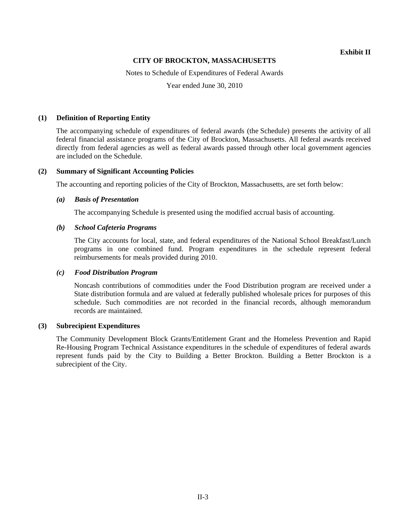**Exhibit II** 

# **CITY OF BROCKTON, MASSACHUSETTS**

### Notes to Schedule of Expenditures of Federal Awards

Year ended June 30, 2010

### **(1) Definition of Reporting Entity**

The accompanying schedule of expenditures of federal awards (the Schedule) presents the activity of all federal financial assistance programs of the City of Brockton, Massachusetts. All federal awards received directly from federal agencies as well as federal awards passed through other local government agencies are included on the Schedule.

#### **(2) Summary of Significant Accounting Policies**

The accounting and reporting policies of the City of Brockton, Massachusetts, are set forth below:

#### *(a) Basis of Presentation*

The accompanying Schedule is presented using the modified accrual basis of accounting.

#### *(b) School Cafeteria Programs*

The City accounts for local, state, and federal expenditures of the National School Breakfast/Lunch programs in one combined fund. Program expenditures in the schedule represent federal reimbursements for meals provided during 2010.

# *(c) Food Distribution Program*

Noncash contributions of commodities under the Food Distribution program are received under a State distribution formula and are valued at federally published wholesale prices for purposes of this schedule. Such commodities are not recorded in the financial records, although memorandum records are maintained.

#### **(3) Subrecipient Expenditures**

The Community Development Block Grants/Entitlement Grant and the Homeless Prevention and Rapid Re-Housing Program Technical Assistance expenditures in the schedule of expenditures of federal awards represent funds paid by the City to Building a Better Brockton. Building a Better Brockton is a subrecipient of the City.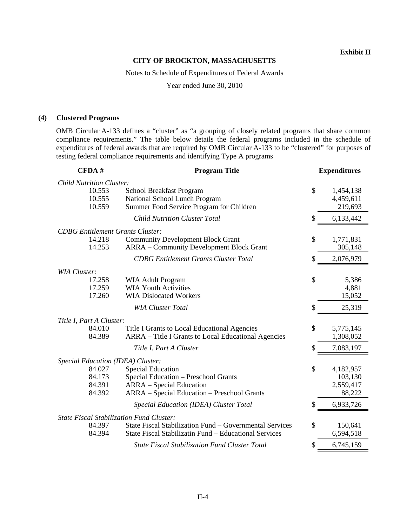#### Notes to Schedule of Expenditures of Federal Awards

Year ended June 30, 2010

#### **(4) Clustered Programs**

OMB Circular A-133 defines a "cluster" as "a grouping of closely related programs that share common compliance requirements." The table below details the federal programs included in the schedule of expenditures of federal awards that are required by OMB Circular A-133 to be "clustered" for purposes of testing federal compliance requirements and identifying Type A programs

| CFDA#                                           | <b>Program Title</b>                                                                                                                               |    | <b>Expenditures</b>                         |
|-------------------------------------------------|----------------------------------------------------------------------------------------------------------------------------------------------------|----|---------------------------------------------|
| <b>Child Nutrition Cluster:</b>                 |                                                                                                                                                    |    |                                             |
| 10.553<br>10.555<br>10.559                      | School Breakfast Program<br>National School Lunch Program<br>Summer Food Service Program for Children                                              | \$ | 1,454,138<br>4,459,611<br>219,693           |
|                                                 | <b>Child Nutrition Cluster Total</b>                                                                                                               | \$ | 6,133,442                                   |
| <b>CDBG</b> Entitlement Grants Cluster:         |                                                                                                                                                    |    |                                             |
| 14.218<br>14.253                                | <b>Community Development Block Grant</b><br><b>ARRA</b> – Community Development Block Grant                                                        | \$ | 1,771,831<br>305,148                        |
|                                                 | <b>CDBG</b> Entitlement Grants Cluster Total                                                                                                       | S  | 2,076,979                                   |
| <b>WIA Cluster:</b>                             |                                                                                                                                                    |    |                                             |
| 17.258<br>17.259<br>17.260                      | <b>WIA Adult Program</b><br><b>WIA Youth Activities</b><br><b>WIA Dislocated Workers</b>                                                           | \$ | 5,386<br>4,881<br>15,052                    |
|                                                 | <b>WIA Cluster Total</b>                                                                                                                           | \$ | 25,319                                      |
| Title I, Part A Cluster:                        |                                                                                                                                                    |    |                                             |
| 84.010<br>84.389                                | Title I Grants to Local Educational Agencies<br>ARRA - Title I Grants to Local Educational Agencies                                                | \$ | 5,775,145<br>1,308,052                      |
|                                                 | Title I, Part A Cluster                                                                                                                            |    | 7,083,197                                   |
| Special Education (IDEA) Cluster:               |                                                                                                                                                    |    |                                             |
| 84.027<br>84.173<br>84.391<br>84.392            | <b>Special Education</b><br>Special Education - Preschool Grants<br><b>ARRA</b> – Special Education<br>ARRA – Special Education – Preschool Grants | \$ | 4,182,957<br>103,130<br>2,559,417<br>88,222 |
|                                                 | Special Education (IDEA) Cluster Total                                                                                                             |    | 6,933,726                                   |
| <b>State Fiscal Stabilization Fund Cluster:</b> |                                                                                                                                                    |    |                                             |
| 84.397<br>84.394                                | State Fiscal Stabilization Fund – Governmental Services<br>State Fiscal Stabilizatin Fund - Educational Services                                   | \$ | 150,641<br>6,594,518                        |
|                                                 | <b>State Fiscal Stabilization Fund Cluster Total</b>                                                                                               | \$ | 6,745,159                                   |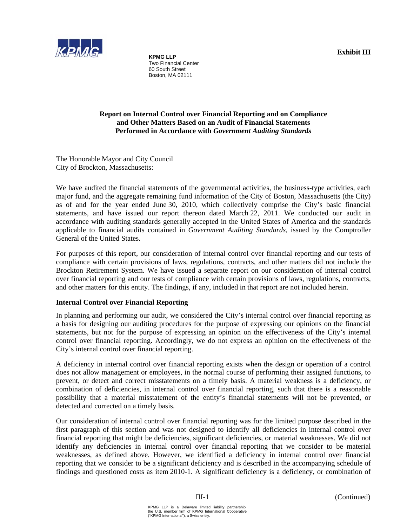



**KPMG LLP**  Two Financial Center 60 South Street Boston, MA 02111

# **Report on Internal Control over Financial Reporting and on Compliance and Other Matters Based on an Audit of Financial Statements Performed in Accordance with** *Government Auditing Standards*

The Honorable Mayor and City Council City of Brockton, Massachusetts:

We have audited the financial statements of the governmental activities, the business-type activities, each major fund, and the aggregate remaining fund information of the City of Boston, Massachusetts (the City) as of and for the year ended June 30, 2010, which collectively comprise the City's basic financial statements, and have issued our report thereon dated March 22, 2011. We conducted our audit in accordance with auditing standards generally accepted in the United States of America and the standards applicable to financial audits contained in *Government Auditing Standards*, issued by the Comptroller General of the United States.

For purposes of this report, our consideration of internal control over financial reporting and our tests of compliance with certain provisions of laws, regulations, contracts, and other matters did not include the Brockton Retirement System. We have issued a separate report on our consideration of internal control over financial reporting and our tests of compliance with certain provisions of laws, regulations, contracts, and other matters for this entity. The findings, if any, included in that report are not included herein.

# **Internal Control over Financial Reporting**

In planning and performing our audit, we considered the City's internal control over financial reporting as a basis for designing our auditing procedures for the purpose of expressing our opinions on the financial statements, but not for the purpose of expressing an opinion on the effectiveness of the City's internal control over financial reporting. Accordingly, we do not express an opinion on the effectiveness of the City's internal control over financial reporting.

A deficiency in internal control over financial reporting exists when the design or operation of a control does not allow management or employees, in the normal course of performing their assigned functions, to prevent, or detect and correct misstatements on a timely basis. A material weakness is a deficiency, or combination of deficiencies, in internal control over financial reporting, such that there is a reasonable possibility that a material misstatement of the entity's financial statements will not be prevented, or detected and corrected on a timely basis.

Our consideration of internal control over financial reporting was for the limited purpose described in the first paragraph of this section and was not designed to identify all deficiencies in internal control over financial reporting that might be deficiencies, significant deficiencies, or material weaknesses. We did not identify any deficiencies in internal control over financial reporting that we consider to be material weaknesses, as defined above. However, we identified a deficiency in internal control over financial reporting that we consider to be a significant deficiency and is described in the accompanying schedule of findings and questioned costs as item 2010-1. A significant deficiency is a deficiency, or combination of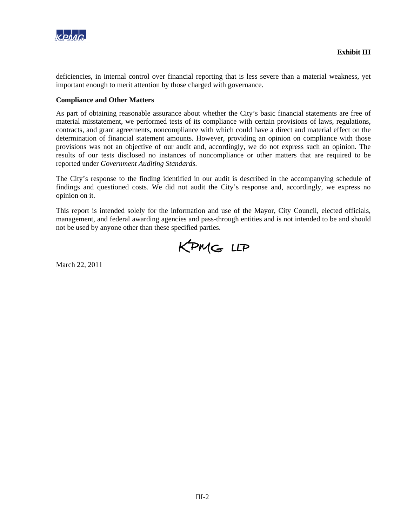

deficiencies, in internal control over financial reporting that is less severe than a material weakness, yet important enough to merit attention by those charged with governance.

# **Compliance and Other Matters**

As part of obtaining reasonable assurance about whether the City's basic financial statements are free of material misstatement, we performed tests of its compliance with certain provisions of laws, regulations, contracts, and grant agreements, noncompliance with which could have a direct and material effect on the determination of financial statement amounts. However, providing an opinion on compliance with those provisions was not an objective of our audit and, accordingly, we do not express such an opinion. The results of our tests disclosed no instances of noncompliance or other matters that are required to be reported under *Government Auditing Standards*.

The City's response to the finding identified in our audit is described in the accompanying schedule of findings and questioned costs. We did not audit the City's response and, accordingly, we express no opinion on it.

This report is intended solely for the information and use of the Mayor, City Council, elected officials, management, and federal awarding agencies and pass-through entities and is not intended to be and should not be used by anyone other than these specified parties.

KPMG LLP

March 22, 2011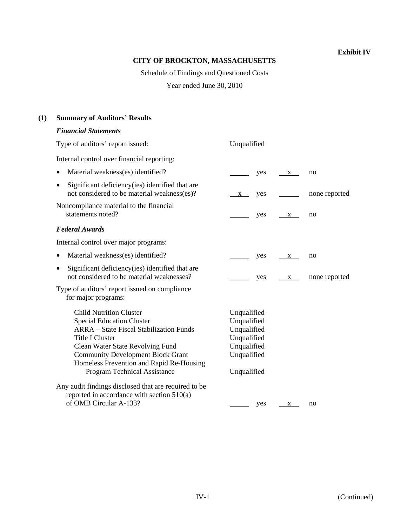**Exhibit IV** 

# **CITY OF BROCKTON, MASSACHUSETTS**

# Schedule of Findings and Questioned Costs

Year ended June 30, 2010

# **(1) Summary of Auditors' Results**

# *Financial Statements*

| Type of auditors' report issued:                                                                                                                                                                                                                                                                                  | Unqualified                                                                                           |              |               |
|-------------------------------------------------------------------------------------------------------------------------------------------------------------------------------------------------------------------------------------------------------------------------------------------------------------------|-------------------------------------------------------------------------------------------------------|--------------|---------------|
| Internal control over financial reporting:                                                                                                                                                                                                                                                                        |                                                                                                       |              |               |
| Material weakness(es) identified?                                                                                                                                                                                                                                                                                 | yes                                                                                                   | X            | no            |
| Significant deficiency (ies) identified that are<br>$\bullet$<br>not considered to be material weakness(es)?                                                                                                                                                                                                      | yes<br>$\mathbf{X}$                                                                                   |              | none reported |
| Noncompliance material to the financial<br>statements noted?                                                                                                                                                                                                                                                      | yes                                                                                                   | $\mathbf{X}$ | no            |
| <b>Federal Awards</b>                                                                                                                                                                                                                                                                                             |                                                                                                       |              |               |
| Internal control over major programs:                                                                                                                                                                                                                                                                             |                                                                                                       |              |               |
| Material weakness(es) identified?                                                                                                                                                                                                                                                                                 | yes                                                                                                   | X            | no            |
| Significant deficiency (ies) identified that are<br>$\bullet$<br>not considered to be material weaknesses?                                                                                                                                                                                                        | yes                                                                                                   | $\mathbf{X}$ | none reported |
| Type of auditors' report issued on compliance<br>for major programs:                                                                                                                                                                                                                                              |                                                                                                       |              |               |
| <b>Child Nutrition Cluster</b><br><b>Special Education Cluster</b><br><b>ARRA</b> – State Fiscal Stabilization Funds<br><b>Title I Cluster</b><br>Clean Water State Revolving Fund<br><b>Community Development Block Grant</b><br>Homeless Prevention and Rapid Re-Housing<br><b>Program Technical Assistance</b> | Unqualified<br>Unqualified<br>Unqualified<br>Unqualified<br>Unqualified<br>Unqualified<br>Unqualified |              |               |
| Any audit findings disclosed that are required to be<br>reported in accordance with section 510(a)<br>of OMB Circular A-133?                                                                                                                                                                                      | yes                                                                                                   | X            | no            |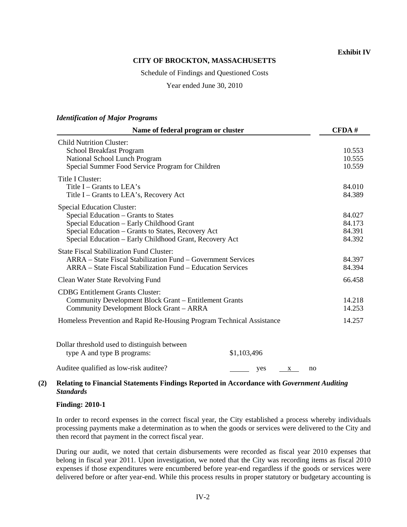#### **Exhibit IV**

# **CITY OF BROCKTON, MASSACHUSETTS**

#### Schedule of Findings and Questioned Costs

Year ended June 30, 2010

#### *Identification of Major Programs*

| Name of federal program or cluster                                                                                                                                                                                                      | CFDA#                                |
|-----------------------------------------------------------------------------------------------------------------------------------------------------------------------------------------------------------------------------------------|--------------------------------------|
| <b>Child Nutrition Cluster:</b><br>School Breakfast Program<br>National School Lunch Program<br>Special Summer Food Service Program for Children                                                                                        | 10.553<br>10.555<br>10.559           |
| Title I Cluster:<br>Title $I -$ Grants to LEA's<br>Title I – Grants to LEA's, Recovery Act                                                                                                                                              | 84.010<br>84.389                     |
| <b>Special Education Cluster:</b><br>Special Education - Grants to States<br>Special Education - Early Childhood Grant<br>Special Education - Grants to States, Recovery Act<br>Special Education – Early Childhood Grant, Recovery Act | 84.027<br>84.173<br>84.391<br>84.392 |
| <b>State Fiscal Stabilization Fund Cluster:</b><br>ARRA – State Fiscal Stabilization Fund – Government Services<br>ARRA – State Fiscal Stabilization Fund – Education Services                                                          | 84.397<br>84.394                     |
| Clean Water State Revolving Fund                                                                                                                                                                                                        | 66.458                               |
| <b>CDBG</b> Entitlement Grants Cluster:<br>Community Development Block Grant - Entitlement Grants<br>Community Development Block Grant - ARRA                                                                                           | 14.218<br>14.253                     |
| Homeless Prevention and Rapid Re-Housing Program Technical Assistance                                                                                                                                                                   | 14.257                               |
| Dollar threshold used to distinguish between<br>type A and type B programs:<br>\$1,103,496                                                                                                                                              |                                      |
| Auditee qualified as low-risk auditee?<br>yes<br>$\mathbf{X}$                                                                                                                                                                           | no                                   |

#### **(2) Relating to Financial Statements Findings Reported in Accordance with** *Government Auditing Standards*

#### **Finding: 2010-1**

In order to record expenses in the correct fiscal year, the City established a process whereby individuals processing payments make a determination as to when the goods or services were delivered to the City and then record that payment in the correct fiscal year.

During our audit, we noted that certain disbursements were recorded as fiscal year 2010 expenses that belong in fiscal year 2011. Upon investigation, we noted that the City was recording items as fiscal 2010 expenses if those expenditures were encumbered before year-end regardless if the goods or services were delivered before or after year-end. While this process results in proper statutory or budgetary accounting is